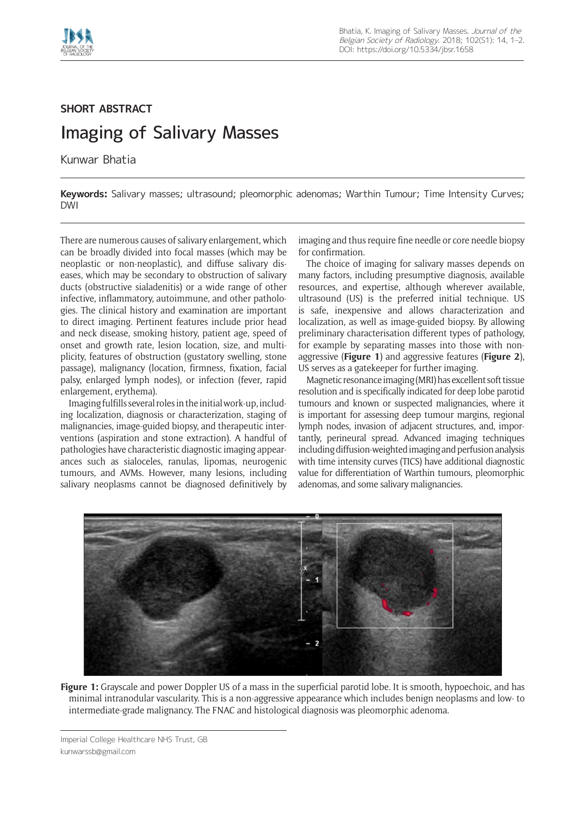

## **SHORT ABSTRACT** Imaging of Salivary Masses

Kunwar Bhatia

**Keywords:** Salivary masses; ultrasound; pleomorphic adenomas; Warthin Tumour; Time Intensity Curves; DWI

There are numerous causes of salivary enlargement, which can be broadly divided into focal masses (which may be neoplastic or non-neoplastic), and diffuse salivary diseases, which may be secondary to obstruction of salivary ducts (obstructive sialadenitis) or a wide range of other infective, inflammatory, autoimmune, and other pathologies. The clinical history and examination are important to direct imaging. Pertinent features include prior head and neck disease, smoking history, patient age, speed of onset and growth rate, lesion location, size, and multiplicity, features of obstruction (gustatory swelling, stone passage), malignancy (location, firmness, fixation, facial palsy, enlarged lymph nodes), or infection (fever, rapid enlargement, erythema).

Imaging fulfills several roles in the initial work-up, including localization, diagnosis or characterization, staging of malignancies, image-guided biopsy, and therapeutic interventions (aspiration and stone extraction). A handful of pathologies have characteristic diagnostic imaging appearances such as sialoceles, ranulas, lipomas, neurogenic tumours, and AVMs. However, many lesions, including salivary neoplasms cannot be diagnosed definitively by imaging and thus require fine needle or core needle biopsy for confirmation.

The choice of imaging for salivary masses depends on many factors, including presumptive diagnosis, available resources, and expertise, although wherever available, ultrasound (US) is the preferred initial technique. US is safe, inexpensive and allows characterization and localization, as well as image-guided biopsy. By allowing preliminary characterisation different types of pathology, for example by separating masses into those with nonaggressive (**Figure 1**) and aggressive features (**Figure 2**), US serves as a gatekeeper for further imaging.

Magnetic resonance imaging (MRI) has excellent soft tissue resolution and is specifically indicated for deep lobe parotid tumours and known or suspected malignancies, where it is important for assessing deep tumour margins, regional lymph nodes, invasion of adjacent structures, and, importantly, perineural spread. Advanced imaging techniques including diffusion-weighted imaging and perfusion analysis with time intensity curves (TICS) have additional diagnostic value for differentiation of Warthin tumours, pleomorphic adenomas, and some salivary malignancies.



**Figure 1:** Grayscale and power Doppler US of a mass in the superficial parotid lobe. It is smooth, hypoechoic, and has minimal intranodular vascularity. This is a non-aggressive appearance which includes benign neoplasms and low- to intermediate-grade malignancy. The FNAC and histological diagnosis was pleomorphic adenoma.